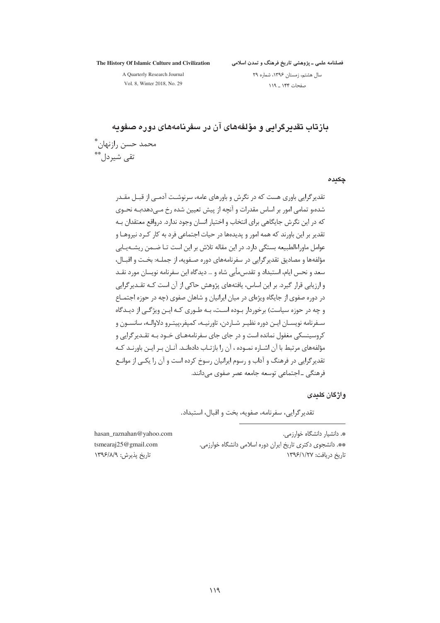The History Of Islamic Culture and Civilization

فصلنامه علمی ــ پژوهشی تاریخ فرهنگ و تمدن اسلامی

A Quarterly Research Journal Vol. 8, Winter 2018, No. 29

سال هشتم، زمستان ۱۳۹۶، شماره ۲۹ صفحات ۱۴۴ \_ ۱۱۹

پازتاپ تقدیر گرایی و مؤلفههای آن در سفریامههای دوره صفویه محمد حسن رازنهان\*ّ ُتقے شیردل ٌ ٌ

#### چکیدہ

تقدیر گرایی باوری هست که در نگرش و باورهای عامه، سرنوشـت آدمـی از قبـل مقــدر شده،و تمامی امور بر اساس مقدرات و آنچه از پیش تعیین شده رخ مــ دهد؛بــه نحــوی که در این نگرش جایگاهی برای انتخاب و اختیار انسان وجود ندارد. درواقع معتقدان بـه تقدیر بر این باورند که همه امور و پدیدهها در حیات اجتماعی فرد به کار کـرد نیروهـا و عوامل ماوراءالطبیعه بستگی دارد. در این مقاله تلاش بر این است تــا ضــمن ریشــهیــابی مؤلفهها و مصاديق تقدير گرايي در سفرنامههاي دوره صـفويه، از جملــه: بخــت و اقبــال، سعد و نحس ايام، استبداد و تقدس مأبي شاه و … ديدگاه اين سفرنامه نويسان مورد نقــد و ارزیابی قرار گیرد. بر این اساس، یافتههای پژوهش حاکی از آن است کـه تقــدیرگرایی در دوره صفوی از جایگاه ویژهای در میان ایرانیان و شاهان صفوی (چه در حوزه اجتمــاع و چه در حوزه سیاست) برخوردار بوده است، بـه طـوری کـه ایـن ویژگـی از دیـدگاه سـفرنامه نويسـان ايـن دوره نظيـر شـاردن، تاورنيـه، كمپفر،پيتـرو دلاوالـه، سانسـون و کروسینسکی مغفول نمانده است و در جای جای سفرنامههـای خــود بــه تقــدیر گرایی و مؤلفههای مرتبط با آن اشـاره نمـوده ، آن را بازتـاب دادهانــد. آنــان بــر ایــن باورنــد کــه تقدیرگرایی در فرهنگ و آداب و رسوم ایرانیان رسوخ کرده است و آن را یکبی از موانـع فرهنگي ۔احتماعي توسعه حامعه عصر صفوي مے دانند.

#### واژگان کلیدی

تقدیر گرایی، سفرنامه، صفویه، بخت و اقبال، استبداد.

\*. دانشیار دانشگاه خوارزمی. \*\* دانشجوی دکتری تاریخ ایران دوره اسلامی دانشگاه خوارزمی. تاريخ دريافت: ١٣٩۶/١/٢٧

hasan raznahan@yahoo.com tsmearaj $25@$ gmail.com تاريخ يذيرش: ١٣٩۶/٨/٩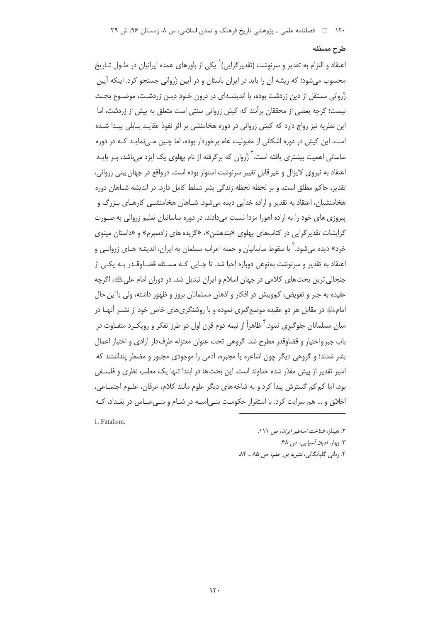# طرح مسئله

اعتقاد و التزام به تقدیر و سرنوشت (تقدیرگرایی)<sup>٬</sup> یکی از باورهای عمده ایرانیان در طــول تــاریخ محسوب می شود؛ که ریشه آن را باید در ایران باستان و در آیین زُروانی جستجو کرد. اینکه آیین زُروانی مستقل از دین زردشت بوده، یا اندیشـهای در درون خـود دیـن زردشـت، موضـوع بحـث نیست؛ گرچه بعضی از محققان برآنند که کیش زروانی سنتی است متعلق به پیش از زردشت، اما این نظریه نیز رواج دارد که کش زروانی در دوره هخامنشی بر اثر نفوذ عقایید پایلی پییدا شیده است. این کیش در دوره اشکانی از مقبولیت عام برخوردار بوده، اما چنین مـیiمایـد کـه در دوره ساسانی اهمیت بیشتری یافته است.<sup>۲</sup> زُروان که برگرفته از نام پهلوی یک ایزد میباشد، بـر پایــه اعتقاد به نیروی لایزال و غیر قابل تغییر سرنوشت استوار بوده است. درواقع در جهان بینی زروانی، تقدیر، حاکم مطلق است، و بر لحظه لحظه زندگی بشر تسلط کامل دارد. در اندیشه شـاهان دوره هخامنشیان، اعتقاد به تقدیر و اراده خدایی دیده می شود. شـاهان هخامنشــی کارهـای بـزرگ و پیروزی های خود را به اراده اهورا مزدا نسبت می دادند. در دوره ساسانیان تعلیم زروانی به صـورت گرایشات تقدیر گرایی در کتابهای پهلوی «بندهشن»، «گزیده های زادسپرم» و «داستان مینوی خرد» دیده می شود. <sup>۲</sup> با سقوط ساسانیان و حمله اعراب مسلمان به ایران، اندیشه هـای زروانـی و اعتقاد به تقدیر و سرنوشت بهنوعی دوباره احیا شد. تا جـایی کـه مسـئله قضـاوقـدر بـه یکـی از جنجالي ترين بحث هاي كلامي در جهان اسلام و ايران تبديل شد. در دوران امام على ﷺ، اگرچه عقیده به جبر و تفویض، کموبیش در افکار و اذهان مسلمانان بروز و ظهور داشته، ولی با این حال امام؛ و در مقابل هر دو عقیده موضع گیری نموده و با روشنگریهای خاص خود از نشـر آنهـا در میان مسلمانان جلوگیری نمود. ٔ ظاهراً از نیمه دوم قرن اول دو طرز تفکر و رویکـرد متفـاوت در باب جبر واختیار و قضاوقدر مطرح شد. گروهی تحت عنوان معتزله طرف دار آزادی و اختیار اعمال بشر شدند؛ و گروهی دیگر چون اشاعره یا مجبره، آدمی را موجودی مجبور و مضطر پنداشتند که اسیر تقدیر از پیش مقدّر شده خداوند است. این بحث ها در ابتدا تنها یک مطلب نظری و فلسـفی بود، اما کم کم گسترش پیدا کرد و به شاخههای دیگر علوم مانند کلام، عرفان، علـوم اجتمـاعی، اخلاق و … هم سرایت کرد. با استقرار حکومت بنـی|میـه در شـام و بنـیءبـاس در بغـداد، کـه

1. Fatalism.

٢. هينلز، شناخت اساطير ايران، ص ١١١. ۳. رهان *ادمان آسیایی، ص ۴*۸. ۴. ربانی گلپایگانی، *نشریه نور علم، ص ۸۵ ـ* ۸۴.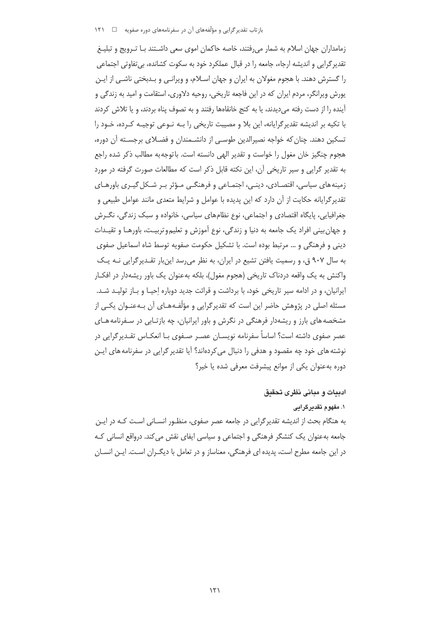زمامداران جهان اسلام به شمار می رفتند، خاصه حاکمان اموی سعی داشـتند بـا تـرویج و تبلیــغ تقدیر گرایی و اندیشه ارجاء، جامعه را در قبال عملکرد خود به سکوت کشانده، بی تفاوتی اجتماعی را گسترش دهند. با هجوم مغولان به ایران و جهان اسـلام، و ویرانـی و بـدبختی ناشـی از ایـن یورش ویرانگر، مردم ایران که در این فاجعه تاریخی، روحیه دلاوری، استقامت و امید به زندگی و آینده را از دست رفته میدیدند، یا به کنج خانقاهها رفتند و به تصوف پناه بردند، و یا تلاش کردند با تکیه بر اندیشه تقدیر گرایانه، این بلا و مصیبت تاریخی را بـه نـوعی توجیـه کـرده، خـود را تسکین دهند. چنان که خواجه نصیرالدین طوسی از دانشـمندان و فضـلای برجسـته آن دوره، هجوم چنگیز خان مغول را خواست و تقدیر الهی دانسته است. باتوجه به مطالب ذکر شده راجع به تقدیر گرایی و سیر تاریخی آن، این نکته قابل ذکر است که مطالعات صورت گرفته در مورد زمینههای سیاسی، اقتصـادی، دینـی، اجتمـاعی و فرهنگـی مـؤثر بـر شـکل گیـری باورهـای تقدیر گرایانه حکایت از آن دارد که این پدیده با عوامل و شرایط متعدی مانند عوامل طبیعی و جغرافیایی، پایگاه اقتصادی و اجتماعی، نوع نظامهای سیاسی، خانواده و سبک زندگی، نگـرش و جهان بيني افراد يک جامعه به دنيا و زندگي، نوع آموزش و تعليم وتربيـت، باورهــا و تقيــدات دینی و فرهنگی و … مرتبط بوده است. با تشکیل حکومت صفویه توسط شاه اسماعیل صفوی به سال ۹۰۷ ق، و رسمیت یافتن تشیع در ایران، به نظر می رسد اینبار تقـدیرگرایی نـه یـک واکنش به یک واقعه دردناک تاریخی (هجوم مغول)، بلکه بهعنوان یک باور ریشهدار در افکـار ایرانیان، و در ادامه سیر تاریخی خود، با برداشت و قرائت جدید دوباره احیـا و بـاز تولیـد شـد. مسئله اصلی در پژوهش حاضر این است که تقدیرگرایی و مؤلّفـههـای آن بـهعنـوان یکـی از مشخصه های بارز و ریشهدار فرهنگی در نگرش و باور ایرانیان، چه بازتـابی در سـفرنامه هـای عصر صفوی داشته است؟ اساساً سفرنامه نویسـان عصـر صـفوی بـا انعکـاس تقـدیرگرایی در نوشته های خود چه مقصود و هدفی را دنبال می کردهاند؟ آیا تقدیر گرایی در سفرنامه های ایـن دوره به عنوان یکی از موانع پیشرفت معرفی شده یا خیر؟

## ادبيات و مباني نظري تحقيق

#### ۱. مفهوم تقدیرگرایی

به هنگام بحث از اندیشه تقدیر گرایی در جامعه عصر صفوی، منظـور انسـانی اسـت کـه در ایـن جامعه بهعنوان یک کنشگر فرهنگی و اجتماعی و سیاسی ایفای نقش می کند. درواقع انسانی کـه در این جامعه مطرح است، پدیده ای فرهنگی، معناساز و در تعامل با دیگـران اسـت. ایـن انسـان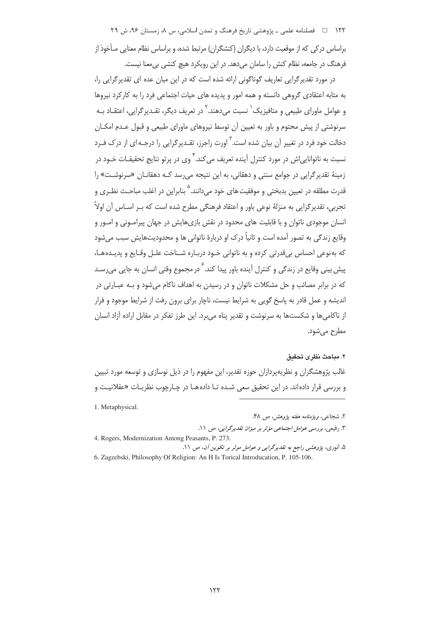۱۲۲ فصلنامه علمی ـ یژوهشی تاریخ فرهنگ و تمدن اسلامی، س ۸، زمستان ۹۶، ش ۲۹ براساس در کی که از موقعیت دارد، با دیگران (کنشگران) مرتبط شده، و براساس نظام معنایی مـأخوذ از فرهنگ در جامعه، نظام کنش را سامان میدهد. در این رویکرد هیچ کنشی بی معنا نیست.

در مورد تقدیر گرایی تعاریف گوناگونی ارائه شده است که در این میان عده ای تقدیر گرایی را، به مثابه اعتقادی گروهی دانسته و همه امور و پدیده های حیات اجتماعی فرد را به کارکرد نیروها و عوامل ماورای طبیعی و متافیزیک` نسبت می(دهند. <sup>۲</sup> در تعریف دیگر، تقـدیر گرایی، اعتقـاد بـه سرنوشتی از پیش محتوم و باور به تعیین آن توسط نیروهای ماورای طبیعی و قبول عـدم امکـان دخالت خود فرد در تغییر آن بیان شده است.<sup>۳</sup> اورت راجرز، تقـدبرگرابی را درجـه|ی از درک فـرد نسبت به ناتوانایے اش در مورد کنترل آینده تعریف می کند. <sup>۴</sup> وی در پرتو نتایج تحقیقـات خـود در زمینهٔ تقدیرگرایی در جوامع سنتی و دهقانی، به این نتیجه می سد کـه دهقانـان «سرنوشـت» را .<br>قدرت مطلقه در تعیین بدیختی و موفقیت های خود مردانند.<sup>۵</sup> بنابراین در اغلب مباحث نظیری و تجربي، تقدير گرايي به منزلۀ نوعي باور و اعتقاد فرهنگي مطرح شده است كه ٻ راسـاس آن اولاً ِ انسان موجودی ناتوان و با قابلیت های محدود در نقش بازیهایش در جهان پیرامـونی و امـور و وقایع زندگی به تصور آمده است و ثانیاً درک او دربارهٔ ناتوانی ها و محدودیتهایش سبب می شود كه بهنوعي احساس بيقدرتي كرده و به ناتواني خـود دربـاره شـناخت علـل وقـايع و پديـدههـا، پیش بینی وقایع در زندگی و کنترل آینده باور پیدا کند.<sup>۶</sup> در مجموع وقتی انسان به جایی می<sub>ا</sub>رسـد که در برابر مصائب و حل مشکلات ناتوان و در رسیدن به اهداف ناکام می شود و بـه عبــارتی در اندیشه و عمل قادر به پاسخ گویی به شرایط نیست، ناچار برای برون رفت از شرایط موجود و فرار از ناکامیها و شکستها به سرنوشت و تقدیر پناه می برد. این طرز تفکر در مقابل اراده آزاد انسان مطرح مي شود.

#### ٢. مباحث نظرى تحقيق

غالب پژوهشگران و نظریهپردازان حوزه تقدیر، این مفهوم را در ذیل نوسازی و توسعه مورد تبیین و بررسی قرار دادهاند. در این تحقیق سعی شـده تـا دادههـا در چـارچوب نظریـات «عقلانیـت و

1. Metaphysical.

۲. شجاعی، *ویژەنامە هفته یژوهش، ص ۴*۸.

۳. رفیعی، بررسی *عوامل اجتماعی مؤثر بر میزان تقدیر گرایی*، ص ۱۱. 4. Rogers, Modernization Among Peasants, P. 273. ۵. انوری، پژوهشی راجع به تقدیرگرایی و عوامل موثر بر تکوین آن، ص ۱۱.

6. Zagzebski, Philosophy Of Religion: An H Is Torical Introducation, P. 105-106.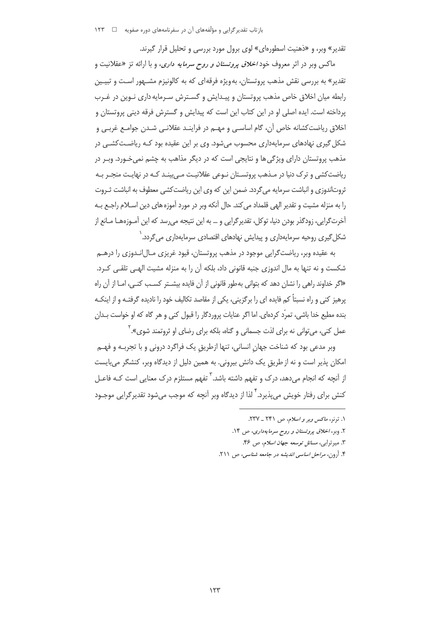تقدیر» وبر، و «ذهنیت اسطورهای» لوی برول مورد بررسی و تحلیل قرار گیرند.

ماکس وبر در اثر معروف خود *اخلاق پروتستان و روح سرمایه داری،* و با ارائه تز «عقلانیت و تقدیر» به بررسی نقش مذهب پروتستان، بهویژه فرقهای که به کالونیزم مشـهور اسـت و تبیـین رابطه میان اخلاق خاص مذهب پروتستان و پیـدایش و گسـترش سـرمایه داری نـوین در غـرب يرداخته است. ايده اصلي او در اين كتاب اين است كه پيدايش و گسترش فرقه ديني پروتستان و اخلاق ریاضت کشانه خاص آن، گام اساسے و مهــم در فراینــد عقلانــی شــدن جوامــع غربــی و شکل گیری نهادهای سرمایهداری محسوب می شود. وی بر این عقیده بود کـه ریاضـتکشــی در مذهب پروتستان دارای ویژگی ها و نتایجی است که در دیگر مذاهب به چشم نمی خـورد. وبـر در ریاضت کشی و ترک دنیا در مـذهب پروتسـتان نـوعی عقلانیـت مـی بینـد کـه در نهایـت منجـر بـه ثروتاندوزی و انباشت سرمایه میگردد. ضمن این که وی این ریاضتکشی معطوف به انباشت ثـروت را به منزله مشيت و تقدير الهي قلمداد مي كند. حال آنكه وبر در مورد آموزه هاي دين اسـلام راجـع بـه آخرتگرایی، زودگذر بودن دنیا، توکل، تقدیرگرایی و … به این نتیجه میرسد که این آمـوزههـا مـانع از شکل گیری روحیه سرمایهداری و پیدایش نهادهای اقتصادی سرمایهداری می گردد. <sup>۱</sup>

به عقیده وبر، ریاضت گرایی موجود در مذهب پروتستان، قیود غریزی مـال|نـدوزی را درهـم شکست و نه تنها به مال اندوزی جنبه قانونی داد، بلکه آن را به منزله مشیت الهـی تلقـی کـرد. «اگر خداوند راهی را نشان دهد که بتوانی بهطور قانونی از آن فایده بیشــتر کســب کنــی، امــا از آن راه پرهیز کنی و راه نسبتاً کم فایده ای را برگزینی، یکی از مقاصد تکالیف خود را نادیده گرفتـه و از اینکـه بنده مطیع خدا باشی، تمرّد کردهای. اما اگر عنایات پروردگار را قبول کنی و هر گاه که او خواست بـدان عمل کنی، می توانی نه برای لذت جسمانی و گناه، بلکه برای رضای او ثروتمند شوی».<sup>۲</sup>

وبر مدعی بود که شناخت جهان انسانی، تنها ازطریق یک فراگرد درونی و با تجربـه و فهــم امکان پذیر است و نه از طریق یک دانش بیرونی. به همین دلیل از دیدگاه وبر، کنشگر می بایست از آنچه که انجام می دهد، درک و تفهم داشته باشد. <sup>۳</sup> تفهم مستلزم درک معنایی است کـه فاعــل ِ کنش برای رفتار خویش می پذیرد. <sup>۴</sup> لذا از دیدگاه ویر آنچه که موجب می شود تقدیر گرایی موجـود

- ٢. وبر، اخلاق پروتستان و روح سرمايهدارى، ص ١٤.
	- ٣. ميرترابي، *مسائل توسعه جهان اسلام*، ص ۴۶.
- ۴. آرون، *مراحل اساسی اندیشه در جامعه شناسی*، ص ۲۱۱.

۰. ترنر، *ماکس ویر و اسلام*، ص ۲۴۱ \_ ۲۳۷.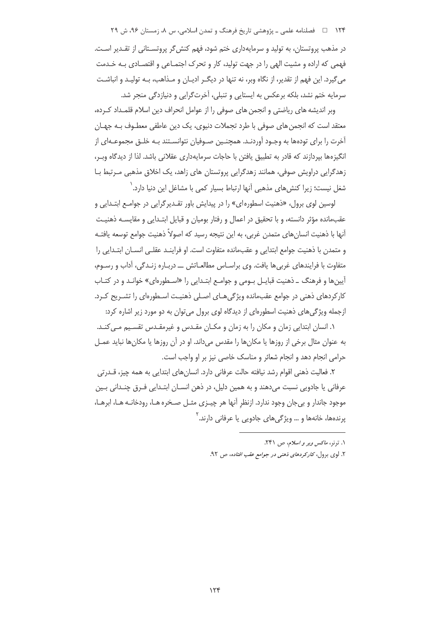۱۲۴ فصلنامه علمی ـ پژوهشی تاریخ فرهنگ و تمدن اسلامی، س ۸، زمستان ۹۶، ش ۲۹

در مذهب پروتستان، به تولید و سرمایهداری ختم شود، فهم کنش گر پروتسـتانی از تقـدیر اسـت. فهمی که اراده و مشیت الهی را در جهت تولید، کار و تحرک اجتمـاعی و اقتصـادی بـه خـدمت می گیرد. این فهم از تقدیر، از نگاه ویر، نه تنها در دیگـر ادیـان و مـذاهب، بـه تولیـد و انباشـت سرمایه ختم نشد، بلکه برعکس به ایستایی و تنبلی، آخرتگرایی و دنیازدگی منجر شد.

وبر اندیشه های ریاضتی و انجمن های صوفی را از عوامل انحراف دین اسلام قلمـداد کـرده، معتقد است که انجمن های صوفی با طرد تجملات دنیوی، یک دین عاطفی معطـوف بــه جهـان آخرت را برای تودهها به وجـود آوردنـد. همچنـین صـوفیان نتوانسـتند بـه خلـق مجموعـهای از انگیزهها بپردازند که قادر به تطبیق یافتن با حاجات سرمایهداری عقلانی باشد. لذا از دیدگاه وبـر، زهدگرایی دراویش صوفی، همانند زهدگرایی پروتستان های زاهد، یک اخلاق مذهبی مـرتبط بـا شغل نیست؛ زیرا کنش@ای مذهبی آنها ارتباط بسیار کمی با مشاغل این دنیا دارد.<sup>\</sup>

لوسین لوی برول، «ذهنیت اسطورهای» را در پیدایش باور تقـدیرگرایی در جوامـع ابتـدایی و عقبمانده مؤثر دانسته، و با تحقیق در اعمال و رفتار بومیان و قبایل ابتـدایی و مقایسـه ذهنیـت أنها با ذهنیت انسانهای متمدن غربی، به این نتیجه رسید که اصولاً ذهنیت جوامع توسعه یافتـه و متمدن با ذهنيت جوامع ابتدايي و عقب،انده متفاوت است. او فراينـد عقلـي انســان ابتــدايي را متفاوت با فرایندهای غربی ها یافت. وی براسـاس مطالعـاتش ـــ دربـاره زنـدگی، آداب و رسـوم، آیینها و فرهنگ ـ ذهنیت قبایـل بـومی و جوامـع ابتـدایی را «اسـطورهای» خوانـد و در کتـاب کارکردهای ذهنی در جوامع عقبمانده ویژگی هیای اصلی ذهنیت استطورهای را تشیریح کیرد. ازجمله ویژگیهای ذهنیت اسطورهای از دیدگاه لوی برول می توان به دو مورد زیر اشاره کرد:

۱. انسان ابتدایی زمان و مکان را به زمان و مکـان مقـدس و غیرمقـدس تقسـیم مـیکنـد. به عنوان مثال برخی از روزها یا مکانها را مقدس میداند. او در آن روزها یا مکانها نباید عمـل حرامی انجام دهد و انجام شعائر و مناسک خاصی نیز بر او واجب است.

٢. فعاليت ذهني اقوام رشد نيافته حالت عرفاني دارد. انسان هاي ابتدايي به همه چيز، قــدرتي عرفاني يا جادويي نسبت مي‹هند و به همين دليل، در ذهن انســان ابتــدايي فــرق چنــداني بــين موجود جاندار و بي جان وجود ندارد. ازنظر آنها هر چيـزي مثـل صـخره هـا، رودخانـه هـا، ابرهـا، پرندهها، خانهها و … ویژگیهای جادویی یا عرفانی دارند.<sup>۲</sup>

۱. ترنز، *ماکس ویر و اسلام*، ص ۲۴۱.

۲. لوی برول، *کارکردهای ذهنی در جوامع عقب افتاده*، ص ۹۲.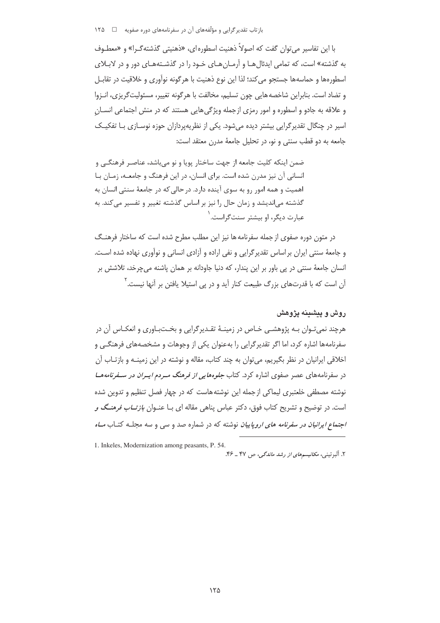با این تفاسیر می توان گفت که اصولاً ذهنیت اسطوره ای، «ذهنیتی گذشته *گ*ـرا» و «معطـوف به گذشته» است، که تمامی ایدئالهـا و آرمـانهـای خـود را در گذشـتههـای دور و در لابـلای اسطورهها و حماسهها جستجو می کند؛ لذا این نوع ذهنیت با هر گونه نوآوری و خلاقیت در تقابـل و تضاد است. بنابراین شاخصه هایی چون تسلیم، مخالفت با هرگونه تغییر، مسئولیتگریزی، انـزوا و علاقه به جادو و اسطوره و امور رمزی ازجمله ویژگی هایی هستند که در منش اجتماعی انسـان اسیر در چنگال تقدیر گرایی بیشتر دیده می شود. یکی از نظریهپردازان حوزه نوسـازی بـا تفکیـک جامعه به دو قطب سنتی و نو، در تحلیل جامعهٔ مدرن معتقد است:

ضمن اینکه کلیت جامعه از جهت ساختار یویا و نو می باشد، عناصر فرهنگے و انسانی آن نیز مدرن شده است. برای انسان، در این فرهنگ و جامعـه، زمـان بـا اهمیت و همه امور رو به سوی آینده دارد. در حالی که در جامعهٔ سنتی انسان به گذشته میاندیشد و زمان حال را نیز بر اساس گذشته تغییر و تفسیر میکند. به عبارت دیگر، او بیشتر سنت *گ*راست.<sup>۱</sup>

در متون دوره صفوی از جمله سفرنامه ها نیز این مطلب مطرح شده است که ساختار فرهنـگ و جامعهٔ سنتی ایران بر اساس تقدیر گرایی و نفی اراده و آزادی انسانی و نوآوری نهاده شده اسـت. انسان جامعهٔ سنتی در پی باور بر این پندار، که دنیا جاودانه بر همان پاشنه میچرخد، تلاشش بر آن است که با قدرتهای بزرگ طبیعت کنار آید و در پی استیلا یافتن بر آنها نیست. ٔ

# روش و پیشینه پژوهش

هرچند نمی تـوان بـه پژوهشـی خـاص در زمینـهٔ تقـدیرگرایی و بخـتبـاوری و انعکـاس آن در سفرنامهها اشاره کرد، اما اگر تقدیرگرایی را بهعنوان یکی از وجوهات و مشخصههای فرهنگـی و اخلاقی ایرانیان در نظر بگیریم، می توان به چند کتاب، مقاله و نوشته در این زمینـه و بازتـاب آن در سفرنامههای عصر صفوی اشاره کرد. کتاب *جلوههایی از فرهنگ میردم ایپران در سیفرنامهه*ا نوشته مصطفی خلعتبری لیماکی از جمله این نوشته هاست که در چهار فصل تنظیم و تدوین شده است. در توضیح و تشریح کتاب فوق، دکتر عباس پناهی مقاله ای بـا عنـوان *بازتــاب فرهنـگ و اجتماع ایرانیان در سفرنامه های اروپاییان* نوشته که در شماره صد و سی و سه مجلـه کتـاب *مـاه* 

<sup>1.</sup> Inkeles, Modernization among peasants, P. 54.

۲. البرتینی، *مکانیسمهای از رشد ماندگی، ص ۴*۷ ـ ۴۶.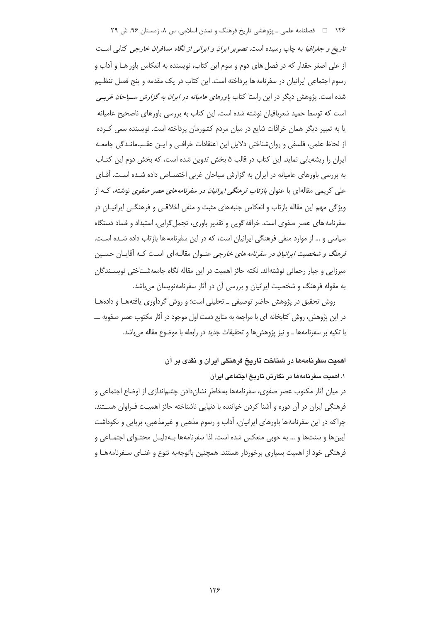۱۲۶ فصلنامه علمی ـ پژوهشی تاریخ فرهنگ و تمدن اسلامی، س ۸، زمستان ۹۶، ش ۲۹ تاریخ و جغرافیا به چاپ رسیده است. تصویر *ایران و ایرانی از نگاه مسافران خارجی* کتابی است از علی اصغر حقدار که در فصل های دوم و سوم این کتاب، نویسنده به انعکاس باور هـا و آداب و رسوم اجتماعی ایرانیان در سفرنامه ها پرداخته است. این کتاب در یک مقدمه و پنج فصل تنظیم شده است. پژوهش دیگر در این راستا کتاب *باورهای عامیانه در ایران به گزارش سسیاحان غرب*ے است که توسط حمید شعربافیان نوشته شده است. این کتاب به بررسی باورهای ناصحیح عامیانه یا به تعبیر دیگر همان خرافات شایع در میان مردم کشورمان پرداخته است. نویسنده سعی کـرده از لحاظ علمی، فلسفی و روان شناختی دلایل این اعتقادات خرافـی و ایـن عقـبمانـدگی جامعـه ایران را ریشه یابی نماید. این کتاب در قالب ۵ بخش تدوین شده است، که بخش دوم این کتـاب به بررسی باورهای عامیانه در ایران به گزارش سیاحان غربی اختصـاص داده شـده اسـت. آقـای علی کریمی مقالهای با عنوان *بازتاب فرهنگی ایرانیان در سفرنامه های عصر صفوی* نوشته، کـه از ویژگی مهم این مقاله بازتاب و انعکاس جنبههای مثبت و منفی اخلاقیی و فرهنگیی ایرانیـان در سفرنامه های عصر صفوی است. خرافه گویی و تقدیر باوری، تجمل گرایی، استبداد و فساد دستگاه سیاسی و … از موارد منفی فرهنگی ایرانیان است، که در این سفرنامه ها بازتاب داده شـده اسـت. فرهنگ و شخصیت *ایرانیان در سفرنامه های خارجی* عنـوان مقالـه ای اسـت کـه آقایـان حسـین میرزایی و جبار رحمانی نوشتهاند. نکته حائز اهمیت در این مقاله نگاه جامعهشـناختی نویسـندگان به مقوله فرهنگ و شخصیت ایرانیان و بررسی آن در آثار سفرنامهنویسان میباشد.

روش تحقیق در پژوهش حاضر توصیفی ـ تحلیلی است؛ و روش گردآوری یافتههـا و دادههـا در این پژوهش، روش کتابخانه ای با مراجعه به منابع دست اول موجود در آثار مکتوب عصر صفویه ــــ با تكيه بر سفرنامهها ــ و نيز پژوهش ها و تحقيقات جديد در رابطه با موضوع مقاله مى باشد.

> اهمدت سفر نامهها در شناخت تاریخ فرهنگی ایران و نقدی پر آن ۱. اهمیت سفرنامهها در نگارش تاریخ اجتماعی ایران

در میان آثار مکتوب عصر صفوی، سفرنامهها بهخاطر نشاندادن چشم|ندازی از اوضاع اجتماعی و فرهنگی ایران در آن دوره و آشنا کردن خواننده با دنیایی ناشناخته حائز اهمیت فـراوان هسـتند. چراکه در این سفرنامهها باورهای ایرانیان، آداب و رسوم مذهبی و غیرمذهبی، برپایی و نکوداشت آیینها و سنتها و … به خوبی منعکس شده است. لذا سفرنامهها بـهدلیـل محتـوای اجتمـاعی و فرهنگی خود از اهمیت بسیاری برخوردار هستند. همچنین باتوجهبه تنوع و غنـای سـفرنامههـا و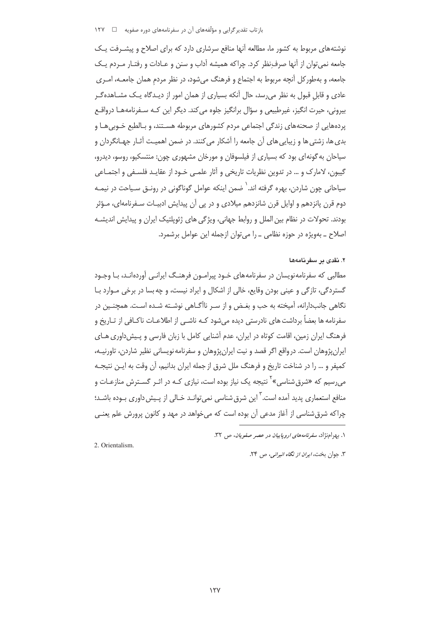نوشتههای مربوط به کشور ما، مطالعه آنها منافع سرشاری دارد که برای اصلاح و پیشـرفت یـک جامعه نمی توان از آنها صرف نظر کرد. چراکه همیشه آداب و سنن و عـادات و رفتـار مـردم یـک جامعه، و بهطور کل آنچه مربوط به اجتماع و فرهنگ می شود، در نظر مردم همان جامعـه، امـری عادی و قابل قبول به نظر می رسد، حال آنکه بسیاری از همان امور از دیـدگاه یـک مشــاهدهگـر بيروني، حيرت انگيز، غيرطبيعي و سؤال برانگيز جلوه مي كند. ديگر اين كـه سـفرنامههــا درواقــع پردههایی از صحنههای زندگی اجتماعی مردم کشورهای مربوطه هسـتند، و بـالطبع خـوبی هـا و بدي ها، زشتي ها و زيبايي هاي آن جامعه را آشكار مي كنند. در ضمن اهميـت آثـار جهـانگردان و سیاحان به گونه ای بود که بسیاری از فیلسوفان و مورخان مشهوری چون: منتسکیو، روسو، دیدرو، گیبون، لامارک و … در تدوین نظریات تاریخی و آثار علمـی خـود از عقایـد فلسـفی و اجتمـاعی سیاحانی چون شاردن، بهره گرفته اند.<sup>\</sup> ضمن اینکه عوامل گوناگونی در رونــق سـیاحت در نیمـه دوم قرن پانزدهم و اوایل قرن شانزدهم میلادی و در پی آن پیدایش ادبیـات سـفرنامهای، مـؤثر بودند. تحولات در نظام بین الملل و روابط جهانی، ویژگی های ژئوپلتیک ایران و پیدایش اندیشـه اصلاح ـ بهویژه در حوزه نظامی ـ را می توان ازجمله این عوامل برشمرد.

#### ۲. نقدی بر سفرنامهها

مطالبی که سفرنامهنویسان در سفرنامههای خـود پیرامـون فرهنـگ ایرانـی آوردهانـد، بـا وجـود گستردگی، تازگی و عینی بودن وقایع، خالی از اشکال و ایراد نیست، و چه بسا در برخی مـوارد بـا نگاهی جانبدارانه، آمیخته به حب و بغـض و از سـر ناآگـاهی نوشـته شـده اسـت. همچنـین در سفرنامه ها بعضاً برداشت های نادرستی دیده میشود کـه ناشـی از اطلاعـات ناکـافی از تـاریخ و فرهنگ ایران زمین، اقامت کوتاه در ایران، عدم آشنایی کامل با زبان فارسی و پـیش(داوری هـای ایرانپژوهان است. در واقع اگر قصد و نیت ایرانپژوهان و سفرنامه نویسانی نظیر شاردن، تاورنیـه، كمپفر و … را در شناخت تاريخ و فرهنگ ملل شرق از جمله ايران بدانيم، آن وقت به ايـن نتيجـه می رسیم که «شرق شناسی»<sup>۲</sup> نتیجه یک نیاز بوده است، نیازی کـه در اثـر گسـترش منازعـات و منافع استعماری پدید آمده است. ۖ این شرق شناسی نمیتوانـد خـالی از پـیش داوری بـوده باشـد؛ چراکه شرق شناسی از آغاز مدعی آن بوده است که می خواهد در مهد و کانون پرورش علم یعنـی

١. رق اجنژاد، سفرنامه های اروپاییان در عصر صفویان، ص ٣٢.

2. Orientalism.

۳. جوان بخت، *ایران از نگاه انیرانی*، ص ۲۴.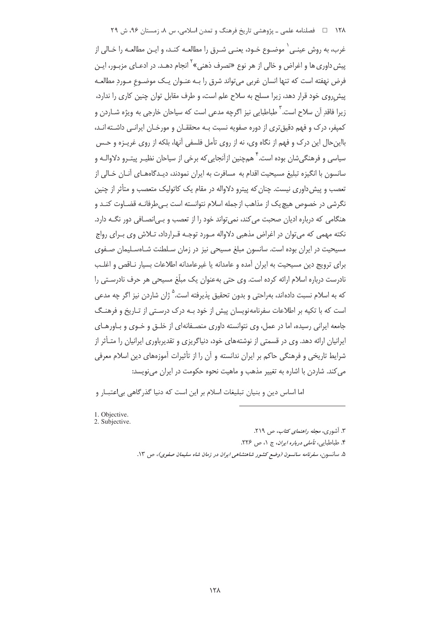۱۲۸ = ه فصلنامه علمی ـ پژوهشی تاریخ فرهنگ و تمدن اسلامی، س ۸، زمستان ۹۶، ش ۲۹

غرب، به روش عینـی ْ موضـوع خـود، یعنـی شـرق را مطالعـه کنـد، و ایـن مطالعـه را خـالی از پیش داوری ها و اغراض و خالی از هر نوع «تصرف ذهنی»<sup>1</sup> انجام دهـد. در ادعـای مزبـور، ایـن فرض نهفته است که تنها انسان غربی می تواند شرق را بـه عنـوان یـک موضـوع مـورد مطالعـه پیش روی خود قرار دهد، زیرا مسلح به سلاح علم است، و طرف مقابل توان چنین کاری را ندارد، زبرا فاقد آن سلاح است.<sup>۳</sup> طباطبایی نیز اگرچه مدعی است که سیاحان خارجی به ویژه شـاردن و کمپفر، درک و فهم دقیق تری از دوره صفویه نسبت بـه محققـان و مورخـان ایرانـی داشـته|نـد، بالین حال این درک و فهم از نگاه وی، نه از روی تأمل فلسفی آنها، بلکه از روی غریـزه و حـس سیاسی و فرهنگے شان بوده است. ۖ همچنین ازآنجایی که برخی از سیاحان نظیـر پیتـرو دلاوالـه و سانسون با انگیزه تبلیغ مسیحیت اقدام به مسافرت به ایران نمودند، دیـدگاههـای آنـان خـالی از تعصب و پیش داوری نیست. چنان که پیترو دلاواله در مقام یک کاتولیک متعصب و متأثر از چنین نگرشی در خصوص هیچ یک از مذاهب از جمله اسلام نتوانسته است بـی طرفانـه قضـاوت کنـد و هنگامی که درباره ادیان صحبت می کند، نمی تواند خود را از تعصب و بـی|نصـافی دور نگــه دارد. نکته مهمی که می توان در اغراض مذهبی دلاواله مـورد توجـه قـرارداد، تـلاش وی بـرای رواج مسیحیت در ایران بوده است. سانسون مبلغ مسیحی نیز در زمان سـلطنت شـاهسـلیمان صـفوی برای ترویج دین مسیحیت به ایران آمده و عامدانه یا غیرعامدانه اطلاعات بسیار نـاقص و اغلـب نادرست دربارہ اسلام ارائه کردہ است. وی حتی بهعنوان یک میلّغ مسیحی هر حرف نادرسـتی را که به اسلام نسبت دادهاند، بهراحتی و بدون تحقیق پذیرفته است.<sup>۵</sup> ژا<sub>ن</sub> شاردن نیز اگر چه مد*عی* است که با تکیه بر اطلاعات سفرنامهنویسان پیش از خود بـه درک درسـتی از تـاریخ و فرهنـگ جامعه ایرانی رسیده، اما در عمل، وی نتوانسته داوری منصـفانهای از خلـق و خـوی و بـاورهـای ایرانیان ارائه دهد. وی در قسمتی از نوشتههای خود، دنیاگریزی و تقدیرباوری ایرانیان را متـأثر از شرایط تاریخی و فرهنگی حاکم بر ایران ندانسته و آن را از تأثیرات آموزههای دین اسلام معرفی می کند. شاردن با اشاره به تغییر مذهب و ماهیت نحوه حکومت در ایران می نویسد:

اما اساس دین و بنیان تبلیغات اسلام بر این است که دنیا گذرگاهی بی|عتبـار و

1. Objective. 2. Subjective.

۳. آشوری، *مجله راهنمای کتاب*، ص ۲۱۹.

۴. طباطیایه، تأمله ٍ درماره ایران، ج ۱، ص ۲۲۶.

۵. سانسون، سفرنامه سانسون (وضع کشور شاهنشاهی ایران در زمان شاه سلیمان صفوی)، ص ۱۳.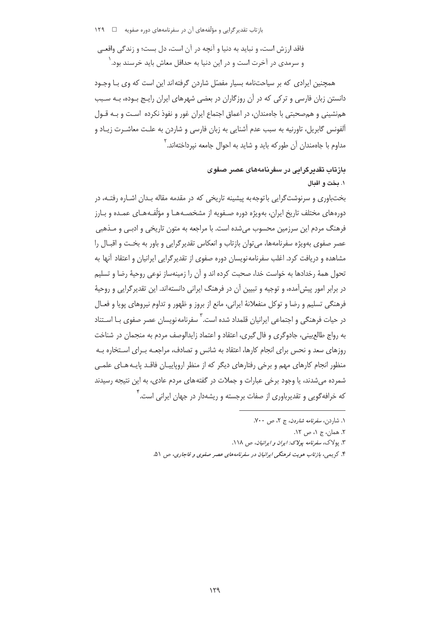بازتاب تقدیر گرایی و مؤلّفههای آن در سفرنامههای دوره صفویه □ ۱۲۹

فاقد ارزش است، و نباید به دنیا و آنچه در آن است، دل بست؛ و زندگی واقعے و سرمدی در آخرت است و در این دنیا به حداقل معاش باید خرسند بود. <sup>(</sup>

همچنین ایرادی که بر سیاحتنامه بسیار مفصّل شاردن گرفته اند این است که وی بـا وجـود دانستن زبان فارسی و ترکی که در آن روزگاران در بعضی شهرهای ایران رایج بوده، بـه سـبب همنشینی و همصحبتی با جاهمندان، در اعماق اجتماع ایران غور و نفوذ نکرده اسـت و بـه قـول آلفونس گابريل، تاورنيه به سبب عدم آشنايي به زبان فارسي و شاردن به علـت معاشـرت زيـاد و مداوم با جاهمندان آن طور که باید و شاید به احوال جامعه نیرداختهاند.<sup>۲</sup>

# بازتاب تقدیرگرایی در سفرنامههای عصر صفوی ۱. بخت و اقبال

بختباوری و سرنوشتگرایی باتوجه به پیشینه تاریخی که در مقدمه مقاله بـدان اشـاره رفتـه، در دورههای مختلف تاریخ ایران، بهویژه دوره صـفویه از مشخصـههـا و مؤلَّفـههـای عمـده و بـارز فرهنگ مردم این سرزمین محسوب میشده است. با مراجعه به متون تاریخی و ادبـی و مـذهبی عصر صفوی بهویژه سفرنامهها، می توان بازتاب و انعکاس تقدیر گرایی و باور به بخت و اقبـال را مشاهده و دریافت کرد. اغلب سفرنامه نویسان دوره صفوی از تقدیر گرایی ایرانیان و اعتقاد آنها به تحول همهٔ رخدادها به خواست خدا، صحبت کرده اند و آن را زمینهساز نوعی روحیهٔ رضا و تسلیم در برابر امور پیش آمده، و توجیه و تبیین آن در فرهنگ ایرانی دانستهاند. این تقدیر گرایی و روحیهٔ فرهنگی تسلیم و رضا و توکل منفعلانهٔ ایرانی، مانع از بروز و ظهور و تداوم نیروهای پویا و فعـال در حیات فرهنگی و اجتماعی ایرانیان قلمداد شده است. <sup>۲</sup> سفرنامه نویسان عصر صفوی بـا اسـتناد به رواج طالع بینی، جادوگری و فال گیری، اعتقاد و اعتماد زایدالوصف مردم به منجمان در شناخت روزهای سعد و نحس برای انجام کارها، اعتقاد به شانس و تصادف، مراجعـه بـرای اسـتخاره بـه منظور انجام کارهای مهم و برخی رفتارهای دیگر که از منظر اروپاییـان فاقـد پایـههـای علمـی شمرده می شدند، یا وجود برخی عبارات و جملات در گفتههای مردم عادی، به این نتیجه رسیدند که خرافه گویی و تقدیرباوری از صفات برجسته و ریشهدار در حهان ایرانی است.<sup>۲</sup>

۱. شاردن، *سفرنامه شاردن*، ج ۲، ص ۷۰۰. ٢. همان، ج ١، ص ١٢. ۳. یولاک، سفرنامه بولا*ک: امران و امرانیان*، ص ۱۱۸.

۴. کريمي، بازتاب هويت فرهنگي ايرانيان در سفرنامههاي عصر صفوي و قاجاري، ص ۵۱.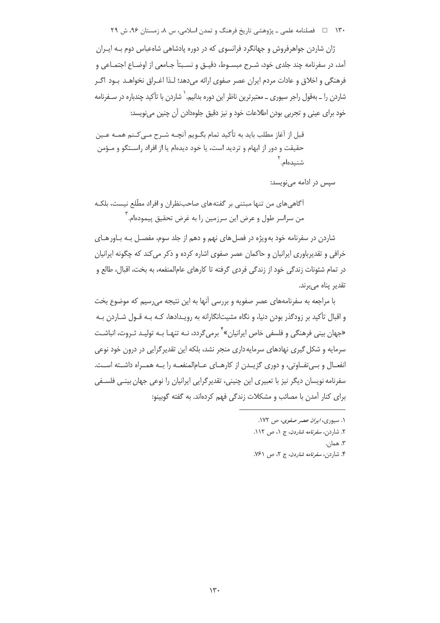۱۳۰ فصلنامه علمی ـ پژوهشی تاریخ فرهنگ و تمدن اسلامی، س ۸، زمستان ۹۶، ش ۲۹

ژان شاردن جواهرفروش و جهانگرد فرانسوی که در دوره یادشاهی شاهعباس دوم بـه ایـران آمد، در سفرنامه چند جلدی خود، شـرح مبسـوط، دقیـق و نسـبتأ جـامعی از اوضـاع اجتمـاعی و فرهنگی و اخلاق و عادات مردم ایران عصر صفوی ارائه می دهد؛ لـذا اغــراق نخواهــد بــود اگــر شاردن را \_ بهقول راجر سیوری \_ معتبرترین ناظر این دوره بدانیم. ` شاردن با تأکید چندباره در سـفرنامه خود برای عینی و تجربی بودن اطلاعات خود و نیز دقیق جلوهدادن آن چنین می،نویسد:

قبل از آغاز مطلب باید به تأکید تمام بگـویم آنجـه شـرح مــ کـنـم همـه عـین حقیقت و دور از ابهام و تردید است، یا خود دیدهام یا از افراد راستگو و مـؤمن شنیدهام. ۲

سپس در ادامه می نویسد:

آگاهی های من تنها مبتنی بر گفته های صاحبنظران و افراد مطّلع نیست، بلکـه من سراسر طول و عرض این سرزمین را به غرض تحقیق پیمودهام.<sup>۳</sup>

شاردن در سفرنامه خود به ویژه در فصل های نهم و دهم از جلد سوم، مفصـل بـه بـاور هـای خرافی و تقدیرباوری ایرانیان و حاکمان عصر صفوی اشاره کرده و ذکر می کند که چگونه ایرانیان در تمام شئونات زندگی خود از زندگی فردی گرفته تا کارهای عامالمنفعه، به بخت، اقبال، طالع و تقدير پناه ميبرند.

با مراجعه به سفرنامههای عصر صفویه و بررسی آنها به این نتیجه میرسیم که موضوع بخت و اقبال تأکید بر زودگذر بودن دنیا، و نگاه مشیتانگارانه به رویـدادها، کـه بـه قـول شـاردن بـه «جهان بینی فرهنگی و فلسفی خاص ایرانیان»<sup>۲</sup> برمی *گ*ردد، نــه تنهـا بــه تولیــد ثـروت، انباشــت سرمایه و شکل گیری نهادهای سرمایه داری منجر نشد، بلکه این تقدیر گرایی در درون خود نوعی انفعـال و بـي تفـاوتي، و دوري گزيــدن از كارهــاي عــامالمنفعــه را بــه همــراه داشــته اســت. سفرنامه نویسان دیگر نیز با تعبیری این چنینی، تقدیرگرایی ایرانیان را نوعی جهان بینـی فلسـفی برای کنار آمدن با مصائب و مشکلات زندگی فهم کردهاند. به گفته گوبینو:

> ۱. سیوری، *ایران عصر صفوی*، ص ۱۷۲. ٢. شاردن، *سفرنامه شاردن*، ج ١، ص ١١٢. ٣. همان. ۴. شاردن، *سفرنامه شاردن*، ج ۲، ص ۷۶۱.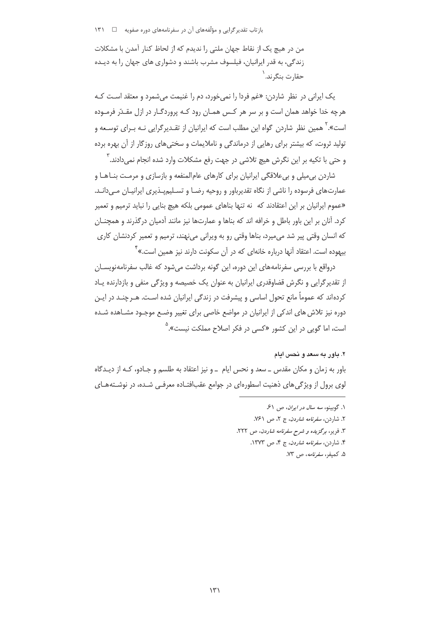من در هیچ یک از نقاط جهان ملتی را ندیدم که از لحاظ کنار آمدن با مشکلات زندگی، به قدر ایرانیان، فیلسوف مشرب باشند و دشواری های جهان را به دیـده حقارت بنگرند. <sup>۱</sup>

یک ایرانی در نظر شاردن: «غم فردا را نمی خورد، دم را غنیمت می شمرد و معتقد است کـه هرچه خدا خواهد همان است و بر سر هر کـس همـان رود کـه پروردگـار در ازل مقـدّر فرمـوده است». <sup>۲</sup> همین نظر شاردن گواه این مطلب است که ایرانیان از تقـدیرگرایی نـه بـرای توسـعه و تولید ثروت، که بیشتر برای رهایی از درماندگی و ناملایمات و سختی های روزگار از آن بهره برده و حتی با تکیه بر این نگرش هیچ تلاشی در جهت رفع مشکلات وارد شده انجام نمیcادند.<sup>۳</sup>

شاردن بی میلی و بی علاقگی ایرانیان برای کارهای عام المنفعه و بازسازی و مرمت بنـاهـا و عمارتهای فرسوده را ناشی از نگاه تقدیرباور و روحیه رضـا و تسـلیمپـذیری ایرانیـان مـیدانـد. «عموم ایرانیان بر این اعتقادند که نه تنها بناهای عمومی بلکه هیچ بنایی را نباید ترمیم و تعمیر کرد. آنان بر این باور باطل و خرافه اند که بناها و عمارتها نیز مانند آدمیان درگذرند و همچنـان که انسان وقتی پیر شد می میرد، بناها وقتی رو به ویرانی می نهند، ترمیم و تعمیر کردنشان کاری بیهوده است. اعتقاد آنها درباره خانهای که در آن سکونت دارند نیز همین است.»<sup>۲</sup>

درواقع با بررسی سفرنامههای این دوره، این گونه برداشت می شود که غالب سفرنامهنویسـان از تقدیر گرایی و نگرش قضاوقدری ایرانیان به عنوان یک خصیصه و ویژگی منفی و بازدارنده پـاد کردهاند که عموماً مانع تحول اساسی و پیشرفت در زندگی ایرانیان شده است. هـرچنـد در ایـن دوره نیز تلاش های اندکی از ایرانیان در مواضع خاصی برای تغییر وضـع موجـود مشـاهده شـده است، اما گوپی در این کشور «کسی در فکر اصلاح مملکت نیست».<sup>۵</sup>

### ۲. باور به سعد و نحس ایام

باور به زمان و مکان مقدس ــ سعد و نحس ايام ــ و نيز اعتقاد به طلسم و جـادو، کـه از ديــدگاه لوی برول از ویژگیهای ذهنیت اسطورهای در جوامع عقبافتـاده معرفـی شـده، در نوشـتههـای

> ١. گوبينو، سه سال در ايران، ص ۶۱. ٢. شاردن، سفرنامه شاردن، ج ٢، ص ٧۶١. ۳. فریر، برگزیده و شرح سفرنامه شاردن، ص ۲۲۲. ۴. شاردن، *سفرنامه شاردن*، ج ۴، ص ۱۳۷۳. ۵. کمیفر، *سفرنامه*، ص ۷۳.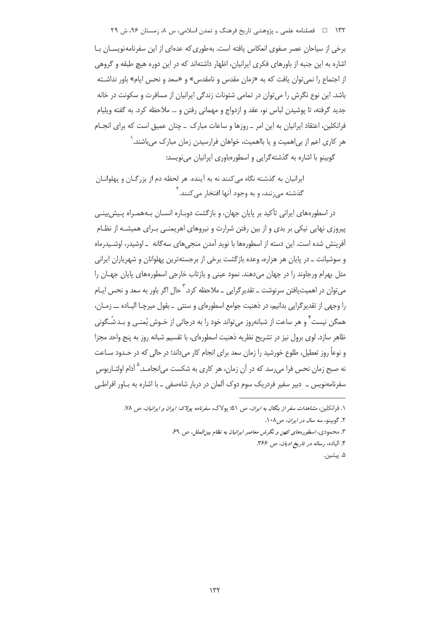۱۳۲ □ فصلنامه علمی ـ یژوهشی تاریخ فرهنگ و تمدن اسلامی، س ۸، زمستان ۹۶، ش ۲۹

برخی از سیاحان عصر صفوی انعکاس یافته است. بهطوری که عدهای از این سفرنامهنویسـان بـا اشاره به این جنبه از باورهای فکری ایرانیان، اظهار داشتهاند که در این دوره هیچ طبقه و گروهی از اجتماع را نمی توان یافت که به «زمان مقدس و نامقدس» و «سعد و نحس ایام» باور نداشـته باشد. این نوع نگرش را می توان در تمامی شئونات زندگی ایرانیان از مسافرت و سکونت در خانه جدید گرفته، تا پوشیدن لباس نو، عقد و ازدواج و مهمانی رفتن و … ملاحظه کرد. به گفته ویلیام فرانکلین، اعتقاد ایرانیان به این امر \_ روزها و ساعات مبارک \_ چنان عمیق است که برای انجــام هر کاری اعم از بی|همیت و یا بااهمیت، خواهان فرارسیدن زمان مبارک می،باشند. ` گوبینو با اشاره به گذشتهگرایی و اسطورهباوری ایرانیان می نویسد:

ایرانیان به گذشته نگاه می کنند نه به آینده. هر لحظه دم از بزرگـان و پهلوانـان گذشته م<sub>ی(</sub>نند، و به وجود آنها افتخا<sub>د</sub> مے کنند.<sup>۲</sup>

در اسطورههای ایرانی تأکید بر پایان جهان، و بازگشت دوبـاره انسـان بـههمـراه پـیش،بینـی پیروزی نهایی نیکی بر بدی و از بین رفتن شرارت و نیروهای اهریمنـی بـرای همیشـه از نظـام آفرینش شده است. این دسته از اسطورهها با نوید آمدن منجےهای سه گانه ــ اوشیدر، اوشـیدرماه و سوشیانت ــ در پایان هر هزاره، وعده بازگشت برخی از برجستهترین پهلوانان و شهریاران ایرانی مثل بھرام ورجاوند را در جھان مے دھند. نمود عینی و بازتاب خارجی اسطورہھای پایان جھـان را مے توان در اھمیت یافتن سرنوشت ــ تقدیر گرایے ۔ ملاحظه کرد. <sup>۳</sup> حال اگر باور به سعد و نحس ایــام را وجهي از تقدير گرايي بدانيم، در ذهنيت جوامع اسطورهاي و سنتي \_ بقول ميرچـا اليـاده ـــ زمـان، همگن نیست ٌ و هر ساعت از شیانه٫وز می تواند خود ٫ا به درجاتی از خـوش بُمنـی و بـدشُـگونی ظاهر سازد. لوی برول نیز در تشریح نظریه ذهنیت اسطورهای، با تقسیم شبانه روز به پنج واحد مجزا و نوعاً روز تعطیل، طلوع خورشید را زمان سعد برای انجام کار میداند؛ در حالی که در حـدود ســاعت نه صبح زمان نحس فرا مے رسد که در آن زمان، هر کاری به شکست مے انحامـد.<sup>۵</sup> آدام اولئــاریوس سفرنامەنویس \_\_ دبیر سفیر فردریک سوم دوک آلمان در دربار شاەصفی \_ با اشارہ به بـاور افراطـی

۵. پیشین.

۱. فرانکلین، *مشاهدات سفر از بنگال به ایران*، ص ۵۱؛ پولاک، *سفرنامه یولاک: ایران و ایرانیان*، ص ۷۸.

۲. گوبينو، *سه سال در ايران*، ص۸۰۸.

۳. محمودی، *اسطورههای کهن و نگرش معاصر ایرانیان به نظام بین الملل، ص* ۶۹.

۴. الياده، رس*اله در تاريخ اديان*، ص ۳۶۶.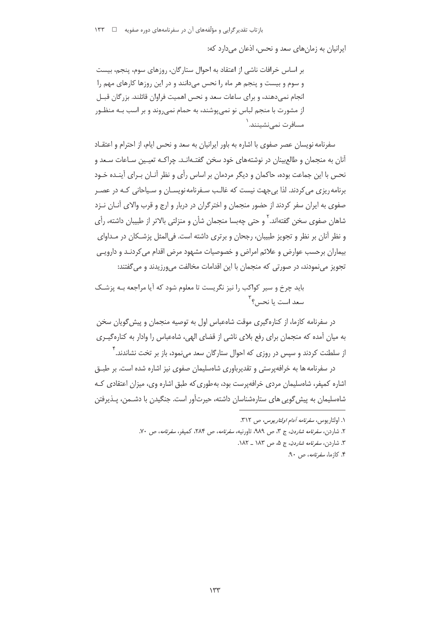بازتاب تقدیر گرایی و مؤلّفههای آن در سفرنامههای دوره صفویه □ ۱۳۳

ایرانیان به زمانهای سعد و نحس، اذعان میدارد که:

بر اساس خرافات ناشی از اعتقاد به احوال ستارگان، روزهای سوم، پنجم، بیست و سوم و بیست و پنجم هر ماه را نحس میدانند و در این روزها کارهای مهم را انجام نمی دهند، و برای ساعات سعد و نحس اهمیت فراوان قائلند. بزرگان قبــل از مشورت با منجم لباس نو نمی یوشند، به حمام نمی روند و بر اسب بـه منظـور مسافر ت نمے نشبنند. <sup>۱</sup>

سفرنامه نویسان عصر صفوی با اشاره به باور ایرانیان به سعد و نحس ایام، از احترام و اعتقـاد آنان به منجمان و طالعبینان در نوشتههای خود سخن گفتـهانـد. چراکـه تعیـین سـاعات سـعد و نحس با این جماعت بوده، حاکمان و دیگر مردمان بر اساس رأی و نظر آنـان بـرای آینـده خـود برنامه ریزی می کردند. لذا بی جهت نیست که غالب سـفرنامه نویســان و سـیاحانی کـه در عصـر صفوی به ایران سفر کردند از حضور منجمان و اخترگران در دربار و ارج و قرب والای آنــان نــزد شاهان صفوی سخن گفتهاند.<sup>۲</sup> و حتی چهبسا منجمان شأن و منزلتی بالاتر از طبیبان داشته، رأی و نظر آنان بر نظر و تجویز طبیبان، رجحان و برتری داشته است. فی|لمثل پزشـکان در مـداوای بیماران برحسب عوارض و علائم امراض و خصوصیات مشهود مرض اقدام می کردنـد و دارویـی تجویز مینمودند، در صورتی که منجمان با این اقدامات مخالفت میورزیدند و می گفتند:

باید چرخ و سیر کواکب را نیز نگریست تا معلوم شود که آیا مراجعه بـه پزشـک سعد است با نحس؟ <sup>٢</sup>

در سفرنامه کازما، از کنارهگیری موقت شاهعیاس اول به توصیه منحمان و پیش گویان سخن به میان آمده که منجمان برای رفع بلای ناشی از قضای الهی، شاهعباس را وادار به کنارهگیری از سلطنت کردند و سپس در روزی که احوال ستارگان سعد م<sub>ی</sub>نمود، باز بر تخت نشاندند.<sup>۴</sup>

در سفرنامه ها به خرافهپرستی و تقدیرباوری شاهسلیمان صفوی نیز اشاره شده است. بر طبــق اشاره کمپفر، شاهسلیمان مردی خرافهپرست بود، بهطوری که طبق اشاره وی، میزان اعتقادی کـه شاەسلیمان به پیش گویی های ستارەشناسان داشته، حیرتآور است. جنگیدن با دشــمن، پــذیرفتن

١. اولئاريوس، *سفرنامه آدام اولئاريوس،* ص ٣١٢.

۲. شاردن، *سفرنامه شاردن*، ج ۳، ص ۹۸۹، تاورنیه، *سفرنامه*، ص ۲۸۴، کمیفر، *سفرنامه*، ص ۷۰.

۳. شاردن، *سفرنامه شاردن*، ج ۵، ص ۱۸۳ ـ ۱۸۲.

۴. کازما، *سفرنامه*، ص ۹۰.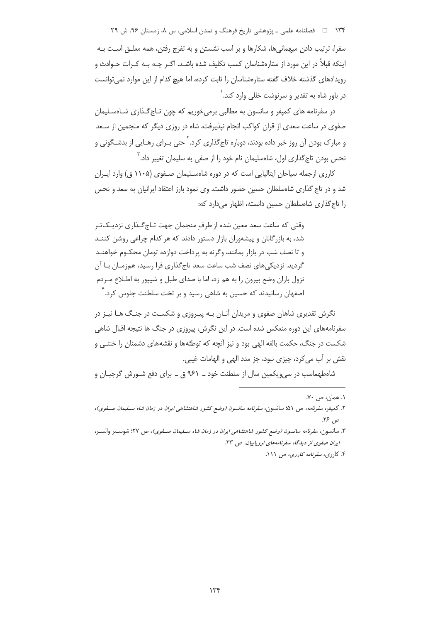۱۳۴ فصلنامه علمی ـ پژوهشی تاریخ فرهنگ و تمدن اسلامی، س ۸، زمستان ۹۶، ش ۲۹

سفرا، ترتیب دادن میهمانی ها، شکارها و بر اسب نشستن و به تفرج رفتن، همه معلـق اسـت بـه اینکه قبلاً در این مورد از ستارهشناسان کسب تکلیف شده باشـد. اگـر چـه بـه کـرات حـوادث و رویدادهای گذشته خلاف گفته ستارهشناسان را ثابت کرده، اما هیچ کدام از این موارد نمی توانست در باور شاه به تقدیر و سرنوشت خللی وارد کند.<sup>۱</sup>

در سفرنامه های کمپفر و سانسون به مطالبی برمیخوریم که چون تـاج گـذاری شـاهسـلیمان صفوی در ساعت سعدی از قران کواکب انجام نیذیرفت، شاه در روزی دیگر که منجمین از سـعد و مبارک بودن آن روز خبر داده بودند، دوباره تاج&ذاری کرد.<sup>۲</sup> حتی بـرای رهـایی از بدشـگونی و نحس بودن تاج گذاری اول، شاهسلیمان نام خود را از صفی به سلیمان تغییر داد. آ

کارری ازجمله سیاحان ایتالیایی است که در دوره شاهسـلیمان صـفوی (۱۱۰۵ ق) وارد ایـران شد و در تاج گذاری شاهسلطان حسین حضور داشت. وی نمود بارز اعتقاد ایرانیان به سعد و نحس را تاج گذاری شاهسلطان حسین دانسته، اظهار میدارد که:

وقتی که ساعت سعد معین شده از طرف منجمان جهت تـاج گـذاری نزدیـکتـر شد، به بازرگانان و پیشهوران بازار دستور دادند که هر کدام چراغی روشن کننـد و تا نصف شب در بازار بمانند، وگرنه به پرداخت دوازده تومان محکـوم خواهنـد گردید. نزدیکی های نصف شب ساعت سعد تاج گذاری فرا رسید، همزمـان بـا آن نزول باران وضع بیرون را به هم زد، اما با صدای طبل و شیپور به اطـلاع مـردم اصفهان رسانیدند که حسین به شاهی رسید و بر تخت سلطنت جلوس کرد. ٔ

نگرش تقدیری شاهان صفوی و مریدان آنـان بـه پیـروزی و شکسـت در جنـگ هـا نیـز در سفرنامههای این دوره منعکس شده است. در این نگرش، پیروزی در جنگ ها نتیجه اقبال شاهی شکست در جنگ، حکمت بالغه الهی بود و نیز آنچه که توطئهها و نقشههای دشمنان را خنثـی و نقش بر أب مي كرد، چيزي نبود، جز مدد الهي و الهامات غيبي.

شاهطهماسب در سی ویکمین سال از سلطنت خود ــ ۹۶۱ ق ــ برای دفع شـورش گرجیـان و

۳. سانسون، *سفرنامه سانسون (وضع كشور شاهنشاهی ایران در زمان شاه سـلیمان صـفوی)*، ص ۲۷؛ شوسـتر والسـر، ایران صفوی از دیدگاه سفرنامههای اروپاییان، ص ۲۳.

۴. کارری، *سفرنامه کارری*، ص ۱۱۱.

۰۱. همان، ص ۷۰.

۲. کمپفر، سفرنامه، ص ۵۱؛ سانسون، سفرنامه سانسون (وضع کشور شاهنشاهی ایران در زمان شاه سـلیمان صـفوی)، ص ۲۶.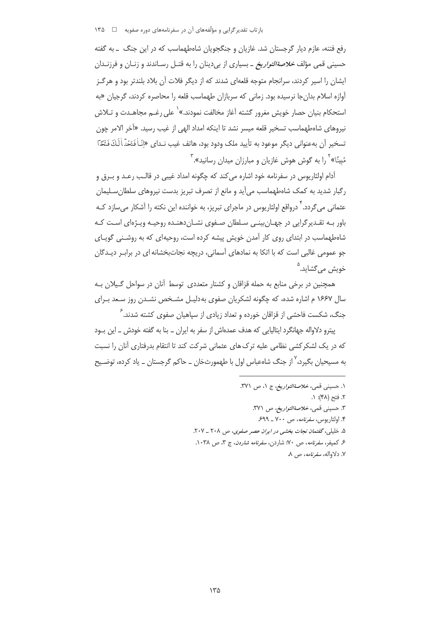رفع فتنه، عازم دیار گرجستان شد. غازیان و جنگجویان شاهطهماسب که در این جنگ \_ به گفته حسینی قمی مؤلف *خلاصةالتواریخ* ـ بسیاری از بی دینان را به قتـل رسـاندند و زنـان و فرزنـدان ایشان را اسیر کردند، سرانجام متوجه قلعهای شدند که از دیگر فلات آن بلاد بلندتر بود و هرگـز آوازه اسلام بدان جا نرسیده بود. زمانی که سربازان طهماسب قلعه را محاصره کردند، گرجیان «به استحکام بنیان حصار خویش مغرور گشته آغاز مخالفت نمودند.»<sup>\</sup> علی رغــم مجاهــدت و تــلاش نيروهاي شاەطهماسب تسخير قلعه ميسر نشد تا اينكه امداد الهي از غيب رسيد. «آخر الامر چون تسخير أن بهعنواني ديگر موعود به تأييد ملک ودود بود، هاتف غيب نـداي «إِنّـاٰ فَتَحْد<sup>ّ</sup>اٰ لَكَ فَتْحًا مُبِینًا» <sup>۲</sup> را به گوش هوش غازیان و مبارزان میدان رسانید». <sup>۳</sup>

آدام اولئاريوس در سفرنامه خود اشاره مي كند كه چگونه امداد غيبي در قالـب رعـد و بـرق و رگبار شدید به کمک شاهطهماسب میآید و مانع از تصرف تبریز بدست نیروهای سلطان سلیمان عثمانی می *گ*ردد. <sup>۴</sup> درواقع اولئاریوس در ماجرای تبریز، به خواننده این نکته را آشکار م*ی* سازد کـه باور بـه تقـدیرگرایی در جهـان بینـی سـلطان صـفوی نشـان(دهنـده روحیـه ویـژهای اسـت کـه شاهطهماسب در ابتدای روی کار آمدن خویش پیشه کرده است، روحیهای که به روشـنی گویـای جو عمومی غالبی است که با اتکا به نمادهای آسمانی، دریچه نجاتبخشانه ای در برابـر دیـدگان خویش می گشاید.<sup>۵</sup>

همچنین در برخی منابع به حمله قزاقان و کشتار متعددی توسط آنان در سواحل گـیلان بـه سال ۱۶۶۷ م اشاره شده، که چگونه لشکریان صفوی به دلیل مشخص نشدن روز سعد برای جنگ، شکست فاحشی از قزاقان خورده و تعداد زیادی از سیاهیان صفوی کشته شدند.<sup>۶</sup>

پیترو دلاواله جهانگرد ایتالیایی که هدف عمدهاش از سفر به ایران \_ بنا به گفته خودش \_ این بـود که در یک لشکرکشی نظامی علیه ترک های عثمانی شرکت کند تا انتقام بدرفتاری آنان را نسبت به مسیحیان بگیرد،<sup>۷</sup> از جنگ شاهعباس اول با طهمورثخان ــ حاکم گرجستان ــ یاد کرده، توضــیح

> ۱. حسيني قمي، *خلاصةالتواريخ، ج ۱، ص ۳*۷۱. ۲. فتح (۴۸): ۱. ٣. حسيني قمي، *خلاصةالتواريخ*، ص ٣٧١. ۴. اولئاريوس، *سفرنامه*، ص ٧٠٠ ـ ۶۹۹. ۵. خلیلی، گفتمان نجات بخشی در ایران عصر صفوی، ص ۲۰۸ ـ ۲۰۷. ع كميفر، *سفرنامه*، ص ۷۰: شاردن، *سفرنامه شاردن*، ج ۳، ص ۱۰۳۸. ۷. دلاواله، *سفرنامه*، ص ۸.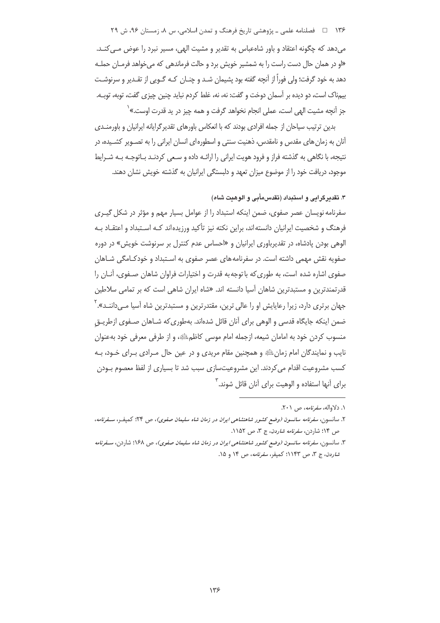۱۳۶ فصلنامه علمی ـ پژوهشی تاریخ فرهنگ و تمدن اسلامی، س ۸، زمستان ۹۶، ش ۲۹

می دهد که چگونه اعتقاد و باور شاهعباس به تقدیر و مشیت الهی، مسیر نبرد را عوض مـی کنـد. «او در همان حال دست راست را به شمشیر خویش برد و حالت فرماندهی که میخواهد فرمـان حملـه دهد به خود گرفت؛ ولی فوراً از آنچه گفته بود پشیمان شـد و چنــان کـه گــویی از تقــدیر و سرنوشــت بیمناک است، دو دیده بر آسمان دوخت و گفت: نه، نه، غلط کردم نباید چنین چیزی گفت، توبه، توبــه. جز آنچه مشيت الهي است، عملي انجام نخواهد گرفت و همه چيز در يد قدرت اوست.» <sup>(</sup>

بدین ترتیب سیاحان از جمله افرادی بودند که با انعکاس باورهای تقدیر گرایانه ایرانیان و باورمنـدی آنان به زمان های مقدس و نامقدس، ذهنیت سنتی و اسطورهای انسان ایرانی را به تصـویر کشـیده، در نتیجه، با نگاهی به گذشته فراز و فرود هویت ایرانی را ارائـه داده و سـعی کردنـد بـاتوجـه بـه شـرایط موجود، دریافت خود را از موضوع میزان تعهد و دلبستگی ایرانیان به گذشته خویش نشان دهند.

### ۳. تقدیرگرایی و استبداد (تقدسمأبی و الوهیت شاه)

سفرنامه نویسان عصر صفوی، ضمن اینکه استبداد را از عوامل بسیار مهم و مؤثر در شکل گیـری فرهنگ و شخصیت ایرانیان دانستهاند، براین نکته نیز تأکید ورزیدهاند کـه اسـتبداد و اعتقــاد بـه الوهی بودن پادشاه، در تقدیرباوری ایرانیان و «احساس عدم کنترل بر سرنوشت خویش» در دوره صفویه نقش مهمی داشته است. در سفرنامه های عصر صفوی به اسـتبداد و خودکـامگی شـاهان صفوی اشاره شده است، به طوری که با توجه به قدرت و اختیارات فراوان شاهان صـفوی، آنــان را قدرتمندترین و مستبدترین شاهان آسیا دانسته اند. «شاه ایران شاهی است که بر تمامی سلاطین جهان برتری دارد، زیرا رعایایش او را عالی ترین، مقتدرترین و مستبدترین شاه آسیا مـیcاننـد».<sup>۲</sup> ضمن اینکه جایگاه قدسی و الوهی برای آنان قائل شدهاند. بهطوری که شـاهان صـفوی ازطریــق منسوب کردن خود به امامان شیعه، ازجمله امام موسی کاظمﷺ، و از طرفی معرفی خود بهعنوان نایب و نمایندگان امام زمان ﷺ و همچنین مقام مریدی و در عین حال مـرادی بـرای خـود، بـه کسب مشروعیت اقدام می کردند. این مشروعیتسازی سبب شد تا بسیاری از لفظ معصوم بـودن برای آنها استفاده و الوهیت برای آنان قائل شوند.<sup>۳</sup>

١. دلاواله، *سفرنامه*، ص ٢٠١.

۲. سانسون، *سفرنامه سانسون (وضع کشور شاهنشاهی ایران در زمان شاه سلیمان صفوی)*، ص ۲۴: کمیف، *سـفرنامه*، ص ۱۴؛ شاردن، *سفرنامه شاردن*، ج ۳، ص ۱۱۵۲.

۳. سانسون، *سفرنامه سانسون (وضع کشور شاهنشاهی ایران در زمان شاه سلیمان صفوی)*، ص ۱۶۸؛ شاردن، *سـفرنامه شاردن*، ج ۳، ص ۱۱۴۳؛ کمیفر، *سفرنامه*، ص ۱۴ و ۱۵.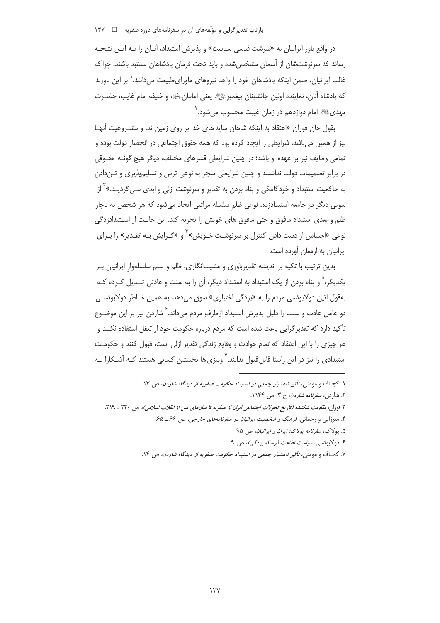در واقع باور ایرانیان به «سرشت قدسی سیاست» و پذیرش استبداد، آنـان را بـه ایـن نتیجـه رساند که سرنوشتشان از آسمان مشخص شده و باید تحت فرمان پادشاهان مستبد باشند، چراکه غالب ایرانیان، ضمن اینکه پادشاهان خود را واجد نیروهای ماورای طبیعت میدانند، ٰ بر این باورند كه يادشاه آنان، نماينده اولين جانشينان يبغمبرﷺ يعني امامانﷺ، و خليفه امام غايب، حضـرت مهديﷺ امام دوازدهم در زمان غيبت محسوب مي شود. '

بقول جان فوران «اعتقاد به اینکه شاهان سایه های خدا بر روی زمین اند، و مشـروعیت آنهـا نیز از همین میباشد، شرایطی را ایجاد کرده بود که همه حقوق اجتماعی در انحصار دولت بوده و تمامی وظایف نیز بر عهده او باشد؛ در چنین شرایطی قشرهای مختلف، دیگر هیچ گونـه حقـوقی در برابر تصمیمات دولت نداشتند و چنین شرایطی منجر به نوعی ترس و تسلیمپذیری و تـندادن به حاکمیت استبداد و خودکامکی و پناه بردن به تقدیر و سرنوشت ازلی و ابدی مــ<sub>، گ</sub>ردیـد.»<sup>۳</sup> از سویی دیگر در جامعه استبدادزده، نوعی ظلم سلسله مراتبی ایجاد می شود که هر شخص به ناچار ظلم و تعدی استبداد مافوق و حتی مافوق های خویش را تجربه کند. این حالت از استبدادزدگی نوعی «احساس از دست دادن کنترل بر سرنوشـت خـویش»<sup>۲</sup> و «گـرایش بـه تقـدیر» را بـرای ایرانیان به ارمغان آورده است.

بدین ترتیب با تکیه بر اندیشه تقدیرباوری و مشیتانگاری، ظلم و ستم سلسلهوار ایرانیان ب یکدیگر، <sup>۵</sup> و پناه بردن از یک استبداد به استبداد دیگر، آن را به سنت و عادتی تبـدیل کـرده کـه بهقول اتين دولابوئسي مردم را به «بردگي اختياري» سوق مي دهد. به همين خـاطر دولابوئسـي دو عامل عادت و سنت را دلیل پذیرش استبداد ازطرف مردم می داند. <sup>۶</sup> شاردن نیز بر این موضـوع تأکید دارد که تقدیر گرایی باعث شده است که مردم درباره حکومت خود از تعقل استفاده نکنند و هر چیزی را با این اعتقاد که تمام حوادث و وقایع زندگی تقدیر ازلی است، قبول کنند و حکومت استبدادی را نیز در این راستا قابلِ قبول بدانند.<sup>۷</sup> ونیزی ها نخستین کسانی هستند کـه آشـکارا بـه

ع دولاپوئسي، ساست اطاعت (رساله پردگیر)، ص ۹.

۷. کجباف و مومنی، تأثیر ناهشیار جمعی در استبداد حکومت صفویه از دیدگاه شاردن، ص ۱۴.

١. كجباف و مومنى، تأثير ناهشيار جمعى در استبداد حكومت صفويه از ديدگاه شاردن، ص ١٣. ۲. شاردن، *سفرنامه شاردن*، ج ۳، ص ۱۱۴۴.

۳ فوران، مقاومت شکننده (تاریخ تحولات اجتماعی ایران از صفویه تا سال های پس از انقلاب اسلامی)، ص ۲۲۰ \_ ۲۱۹.

۴. میرزایی و رحمانی، فر*هنگ و شخصیت ایرانیان در سفرنامههای خارجی*، ص ۶۶ ـ ۶۵

۵. پولاک، سفرنامه پولاک: ایران و ایرانیان، ص ۹۵.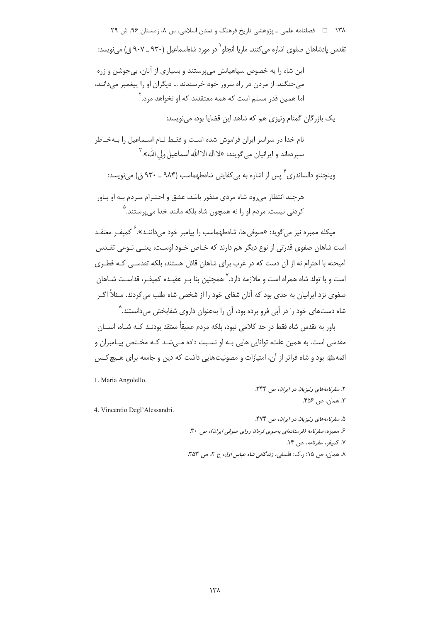۱۳۸ = ه فصلنامه علمی ـ یژوهشی تاریخ فرهنگ و تمدن اسلامی، س ۸، زمستان ۹۶، ش ۲۹ تقدس یادشاهان صفوی اشاره می کنند. ماریا آنجلو` در مورد شاهاسماعیل (۹۳۰ ــ ۹۰۷ ق) می نویسد:

این شاه را به خصوص سیاهیانش می پرستند و بسیاری از آنان، بی جوشن و زره می جنگند. از مردن در راه سرور خود خرسندند … دیگران او را پیغمبر میدانند، اما همین قدر مسلم است که همه معتقدند که او نخواهد مرد.<sup>۲</sup>

یک بازرگان گمنام ونیزی هم که شاهد این قضایا بود، می نویسد:

نام خدا در سراسر ایران فراموش شده است و فقـط نـام اسـماعیل را بـهخـاطر سپردهاند و ایرانیان میگویند: «لااله الاالله اسماعیل ولی الله»." وینجنتو دالساندری ٌ پس از اشاره به بر کفایتی شامطهماست (۹۸۴ ـ ۹۳۰ ق) مربوسید:

هرچند انتظار می رود شاه مردی منفور باشد، عشق و احتـرام مـردم بـه او بـاور کردنی نیست. مردم او را نه همچون شاه بلکه مانند خدا می پرستند.<sup>۵</sup>

میکله ممیره نیز می گوید: «صوفی ها، شاهطهماست را پیامبر خود می(داننید». <sup>۶</sup> کمیف و معتقبد است شاهان صفوی قدرتی از نوع دیگر هم دارند که خـاص خـود اوسـت، یعنـی نـوعی تقـدس آمیخته با احترام نه از آن دست که در غرب برای شاهان قائل هستند، بلکه تقدسـی کـه فطـری است و با تولد شاه همراه است و ملازمه دارد.<sup>۷</sup> همچنین بنا بـر عقیـده کمیفـر، قداسـت شـاهان صفوی نزد ایرانیان به حدی بود که آنان شفای خود را از شخص شاه طلب می کردند. مــثلاً اگــر شاه دستهای خود را در آبی فرو برده بود، آن را بهعنوان داروی شفابخش میدانستند.^

باور به تقدس شاه فقط در حد کلامی نبود، بلکه مردم عمیقاً معتقد بودنـد کـه شــاه، انســان مقدسی است. به همین علت، توانایی هایی بـه او نسـبت داده مـیشـد کـه مخـتص پیـامبران و ائمهﷺ بود و شاه فراتر از آن، امتیازات و مصونیتهایی داشت که دین و جامعه برای هـیچ کـس

1. Maria Angolello.

4. Vincentio Degl'Alessandri.

۲. سفرنامههای ونیزیان در ایران، ص ۳۴۴. ٣. همان، ص ۴۵۶.

۵. سفرنامههای ونیزیان در ایران، ص ۴۷۴. ۶. ممبره، سفرنامه (فرستادهای بهسوی فرمان روای صوفی ایران)، ص ۳۰. ۷. کمیف، *سفرنامه*، ص ۱۴.

٨. هعان، ص ١۵؛ , ک: فلسفي، ز*ندگاني شاه عباس اول*، ج ٢، ص ٣۵٣.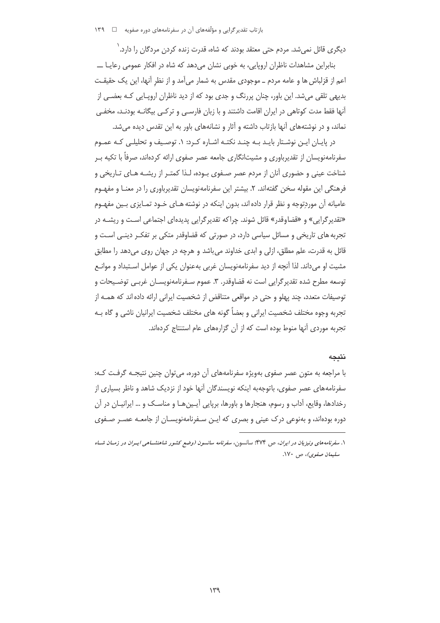دیگری قائل نمیشد. مردم حتی معتقد بودند که شاه، قدرت زنده کردن مردگان را دارد.<sup>\</sup>

بنابراین مشاهدات ناظران اروپایی، به خوبی نشان میدهد که شاه در افکار عمومی رعایـا ــــ اعم از قزلباش ها و عامه مردم ــ موجودي مقدس به شمار مي آمد و از نظر آنها، اين يک حقيقـت بدیهی تلقی می شد. این باور، چنان پررنگ و جدی بود که از دید ناظران اروپـایی کـه بعضـی از آنها فقط مدت کوتاهی در ایران اقامت داشتند و با زبان فارسے و ترکـی بیگانــه بودنــد، مخفـی نماند، و در نوشتههای آنها بازتاب داشته و آثار و نشانههای باور به این تقدس دیده می شد.

در پایـان ایـن نوشـتار بایـد بـه چنـد نکتـه اشـاره کـرد: ۱. توصـیف و تحلیلـی کـه عمـوم سفرنامهنویسان از تقدیرباوری و مشیتانگاری جامعه عصر صفوی ارائه کردهاند، صرفاً با تکیه ب شناخت عینی و حضوری آنان از مردم عصر صـفوی بـوده، لـذا کمتـر از ریشـه هـای تـاریخی و فرهنگی این مقوله سخن گفتهاند. ۲. بیشتر این سفرنامهنویسان تقدیرباوری را در معنـا و مفهـوم عامیانه آن موردِتوجه و نظر قرار داده اند، بدون اینکه در نوشته هـای خـود تمـایزی بـین مفهـوم «تقدیر گرایی» و «قضاوقدر» قائل شوند. چراکه تقدیر گرایی پدیدهای اجتماعی است و ریشــه در تجربه های تاریخی و مسائل سیاسی دارد، در صورتی که قضاوقدر متکی بر تفکـر دینـی اسـت و قائل به قدرت، علم مطلق، ازلي و ابدي خداوند مي باشد و هرچه در جهان روي مي دهد را مطابق مشیت او می داند. لذا آنچه از دید سفرنامهنویسان غربی بهعنوان یکی از عوامل اسـتبداد و موانـع توسعه مطرح شده تقدیر گرایی است نه قضاوقدر. ۳. عموم سـفرنامهنویسـان غربـی توضـیحات و توصیفات متعدد، چند پهلو و حتی در مواقعی متناقض از شخصیت ایرانی ارائه داده اند که همـه از تجربه وجوه مختلف شخصیت ایرانی و بعضاً گونه های مختلف شخصیت ایرانیان ناشی و گاه بـه تجربه موردی آنها منوط بوده است که از آن گزارههای عام استنتاج کردهاند.

#### نتىجە

با مراجعه به متون عصر صفوی بهویژه سفرنامههای آن دوره، می توان چنین نتیجـه گرفـت کـه: سفرنامههای عصر صفوی، باتوجهبه اینکه نویسندگان آنها خود از نزدیک شاهد و ناظر بسیاری از رخدادها، وقایع، آداب و رسوم، هنجارها و باورها، برپایی آیـینِ هـا و مناسـک و … ایرانیـان در آن دوره بودهاند، و بەنوعی درک عینی و بصری که اپـن سـفرنامەنویسـان از جامعـه عصـر صـفوی

۱. سفرنامههای ونیزیان در ایران، ص ۴۷۴: سانسون، سفرنامه سانسون (وضع کشور شاهنشساهی ایسران در زمسان شساه سليمان صفوى)، ص ١٧٠.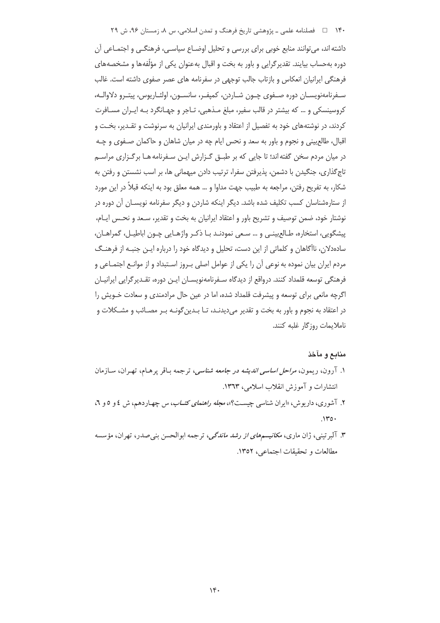۱۴۰٪ □ فصلنامه علمی ـ پژوهشی تاریخ فرهنگ و تمدن اسلامی، س ٨، زمستان ۹۶، ش ۲۹

داشته اند، می توانند منابع خوبی برای بررسی و تحلیل اوضــاع سیاســی، فرهنگــی و اجتمــاعی آن دوره بهحساب بیایند. تقدیر گرایی و باور به بخت و اقبال بهعنوان یکی از مؤلّفهها و مشخصههای فرهنگی ایرانیان انعکاس و بازتاب جالب توجهی در سفرنامه های عصر صفوی داشته است. غالب سـفرنامەنويسـان دورە صـفوي چـون شـاردن، كميفـر، سانسـون، اولئـاريوس، پيتـرو دلاوالــه، کروسینسکی و … که بیشتر در قالب سفیر، مبلغ مـذهبی، تـاجر و جهـانگرد بـه ایـران مسـافرت کردند، در نوشتههای خود به تفصیل از اعتقاد و باورمندی ایرانیان به سرنوشت و تقـدیر، بخـت و اقبال، طالعبینی و نجوم و باور به سعد و نحس ایام چه در میان شاهان و حاکمان صـفوی و چـه در میان مردم سخن گفته اند؛ تا جایی که بر طبـق گـزارش ایـن سـفرنامه هـا برگـزاری مراسـم تاج گذاری، جنگیدن با دشمن، پذیرفتن سفرا، ترتیب دادن میهمانی ها، بر اسب نشستن و رفتن به شکار، به تفریح رفتن، مراجعه به طبیب جهت مداوا و … همه معلق بود به اینکه قبلاً در این مورد از ستارهشناسان کسب تکلیف شده باشد. دیگر اینکه شاردن و دیگر سفرنامه نویســان آن دوره در نوشتار خود، ضمن توصيف و تشريح باور و اعتقاد ايرانيان به بخت و تقدير، سـعد و نحـس ايـام، پیشگویی، استخارہ، طـالع بینـی و … سـعی نمودنـد بـا ذکـر واژهـایی چـون اباطیـل، گمراهـان، سادهدلان، ناآگاهان و کلماتی از این دست، تحلیل و دیدگاه خود را درباره ایـن جنبـه از فرهنـگ مردم ایران بیان نموده به نوعی آن را یکی از عوامل اصلی بـروز اسـتبداد و از موانـع اجتمـاعی و فرهنگی توسعه قلمداد کنند. درواقع از دیدگاه سـفرنامهنویســان ایــن دوره، تقــدیر گرایی ایرانیــان اگرچه مانعی برای توسعه و پیشرفت قلمداد شده، اما در عین حال مرادمندی و سعادت خـویش را در اعتقاد به نجوم و باور به بخت و تقدیر میدیدنـد، تـا بـدین گونـه بـر مصـائب و مشـكلات و ناملایمات روزگار غلبه کنند.

# منابع و مآخذ

- ۱. آرون، ريمون، *مراحل اساسي انديشه در جامعه شناسي*، ترجمه باقر يرهـام، تهـران، سـازمان انتشارات و آموزش انقلاب اسلامی، ١٣٦٣.
- ۲. آشوري، داريوش، «ايران شناسي چيست؟»، *مجله راهنماي كتــاب*، س چهـاردهم، ش ٤ و ٥ و ٦،  $.1$ ۳0.
- ۳. آلبر تینی، ژان ماری، *مکانیسمهای از رشد ماندگی*، ترجمه ابوالحسن بنی صدر، تهران، مؤسسه مطالعات وتحقيقات اجتماعي، ١٣٥٢.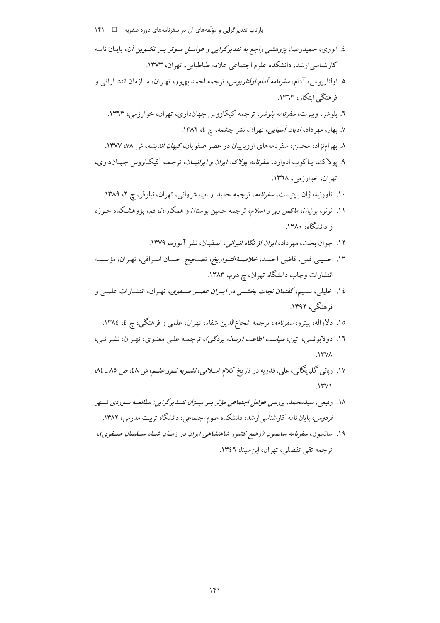- ٤. انوري، حميدرضا، يژوهشي ر*اجع به تقديرگرايي و عوامــل مــوثر بــر تكــوين أن*، يايـان نامـه کارشناسی ارشد، دانشکده علوم اجتماعی علامه طباطبایی، تهران، ۱۳۷۳.
- ٥. اولئاريوس، آدام، *سفرنامه آدام اولئاريوس*، ترجمه احمد بهپور، تهـران، سـازمان انتشـارات<sub>ى</sub> و فرهنگے ایتکار، ۱۳٦۳.
	- ٦. بلوشر، ويبرت، *سفرنامه بلوشر*، ترجمه كيكاووس جهانداري، تهران، خوارزمي، ١٣٦٣.
		- ٧. بھار، مھر داد، *اديان آسيايي*، تھران، نشر چشمه، ج ٤، ١٣٨٢.
	- ٨. بهر امنژاد، محسن، سفرنامههای اروپاییان در عصر صفویان، *کیهان اندیشه*، ش ٧٨، ١٣٧٧.
- ۹. یولاک، پاکوب ادوارد، *سفرنامه یولاک: ایران و ایرانیــان*، ترجمـه کیکـاووس جهـانداری، تھران، خوارزمی، ۱۳٦۸.
	- ۱۰. تاورنیه، ژان بایتیست، *سفرنامه*، ترجمه حمید ارباب شروانی، تهران، نیلوفر، ج ۲، ۱۳۸۹.
- ۱۱. ترنر، برایان، *ماکس وبر و اسلام*، ترجمه حسین بوستان و همکاران، قم، پژوهشکده حـوزه و دانشگاه، ۱۳۸۰.
	- ۱۲. جوان بخت، مهرداد، *ایران از نگاه انیرانی،* اصفهان، نشر آموزه، ۱۳۷۹.
- ۱۳. حسيني قمي، قاضي احمـد، *خلاصـةالتـواريخ*، تصـحيح احسـان اشـراقي، تهـران، مؤسسـه انتشارات وچاپ دانشگاه تهران، چ دوم، ۱۳۸۳.
- ۱٤. خلیلی، نسیم، *گفتمان نجات بخشمی در ایسران عصس صلفوی*، تهران، انتشارات علمبی و فرهنگے ، ۱۳۹۲.
	- ۱۵. دلاواله، پیترو، *سفرنامه*، ترجمه شجاع**الدین شفاء، تهران، علمی و فرهنگی، ج ٤، ١٣٨٤**.
- ١٦. دولابوئسی، اتین، *سیاست اطاعت (رساله بردگی)*، ترجمـه علـی معنـوی، تهـران، نشـر نـی،  $.1$ ۳۷۸
- ۱۷. ربانی گلپایگانی، علی، قدریه در تاریخ کلام اسـلامی، *نشــریه نــور علــم*، ش ٤٨، ص ٨٥ ـ ٨٤  $\mathcal{N}(\mathbf{v})$
- ۱۸. رفیعی، سیدمحمد، بررسی عوامل اجتماعی مؤثر بسر میسزان تقسدپرگرایی؛ مطالعیه مسوردی شسهر قردوس، پایان نامه کارشناسی ارشد، دانشکده علوم اجتماعی، دانشگاه تربت مدرس، ۱۳۸۲.
- ۱۹. سانسون، سفرنامه سانسون (وضع کشور شاهنشاهی ایران در زمـان شـاه سـليمان صـفوی)، ترجمه تقی تفضلی، تهران، این سینا، ١٣٤٦.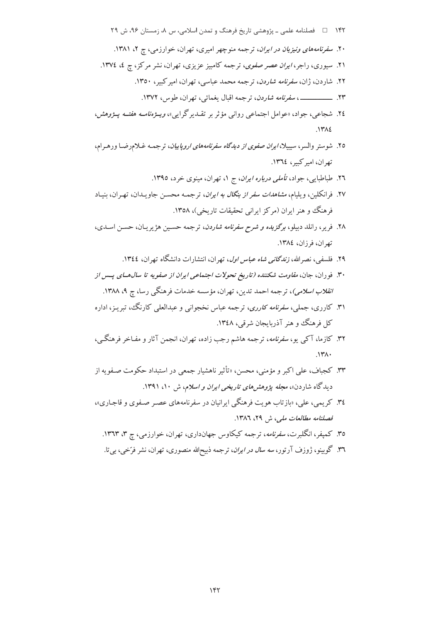- ٢٤. شجاعي، جواد، «عوامل اجتماعي رواني مؤثر بر تقـدير گرايي»، *ويــژەنامــه هفتــه يــژوهش*،  $.1412$
- ۲۵. شوستر والسر، سیبیلا، *ایران صفوی از دیدگاه سفرنامههای اروپاییان*، ترجمـه غـلامرضـا ورهـرام، تھ ان، امبر کسر، ١٣٦٤.
	- ٢٦. طباطبايي، جواد، ت*أملي درباره ايران*، ج ١، تهران، مينوي خرد، ١٣٩٥.
- ۲۷. فرانکلین، و پلیام، *مشاهدات سفر از بنگال به ایران*، ت<sub>ر</sub>جمه محسن جاو پیدان، تهران، بنیاد فرهنگ و هنر ایران (مرکز ایرانی تحقیقات تاریخی)، ۱۳۵۸.
- ۲۸. فریر، رانلد دبیلو، *برگزیده و شرح سفرنامه شاردن*، ترجمه حسـین هژیریـان، حسـن اسـدی، تهران، فرزان، ١٣٨٤.
	- ۲۹. فلسفی، نصرالله، *زندگانی شاه عباس اول*، تهران، انتشارات دانشگاه تهران، ۱۳٤٤.
- ۳۰. فوران، جان، *مقاومت شکننده (تاریخ تحولات اجتماعی ایران از صفویه تا سال هــای پــس از انقلاب اسلامی)*، ترجمه احمد تدین، تهران، مؤسسه خدمات فرهنگی رسا، ج ۹، ۱۳۸۸.
- ۳۱. کارری، جملی، *سفرنامه کارری*، ترجمه عباس نخجوانی و عبدالعلی کارنگ، تبریـز، اداره کل فرهنگ و هنر آذربایجان شرقبی، ۱۳٤۸.
- ۳۲. کازما، آک<sub>ی ی</sub>و، *سفرنامه*، ترجمه هاشم رجب زاده، تهران، انجمن آثار و مفـاخر فرهنگـی،  $\Lambda$
- ۳۳. کجباف، علي اکبر و مؤمني، محسن، «تأثير ناهشبار جمعي در استبداد حکومت صيفو به از دیدگاه شاردن»، *مجله پژوهش های تاریخی ایران و اسلام*، ش ۱۰، ۱۳۹۱.
- ۳٤. کر یمه ،، علي، «باز تاب هو بت فرهنگي ايرانيان در سفرنامههاي عصبر صنفوي و قاجباري»، فصلنامه مطالعات ملي، ش ٢٩، ١٣٨٦.
	- ۳۵. کمپفر، انگلبرت، *سفرنامه*، ترجمه کیکاوس جهانداری، تهران، خوارزمی، چ ۳، ۱۳٦۳.
	- ۳٦. گوبینو، ژوزف آرتور، *سه سال در ایران*، ترجمه ذبیح|لله منصوری، تهران، نشر فرّخی، بی¤.